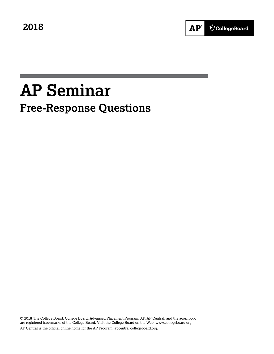**2018**



# **AP Seminar Free-Response Questions**

© 2018 The College Board. College Board, Advanced Placement Program, AP, AP Central, and the acorn logo are registered trademarks of the College Board. Visit the College Board on the Web: [www.collegeboard.org.](www.collegeboard.org) AP Central is the official online home for the AP Program: [apcentral.collegeboard.org.](apcentral.collegeboard.org)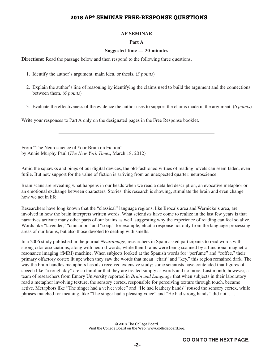#### **AP SEMINAR**

#### **Part A**

#### **Suggested time — 30 minutes**

**Directions:** Read the passage below and then respond to the following three questions.

- 1. Identify the author's argument, main idea, or thesis. (*3 points*)
- 2. Explain the author's line of reasoning by identifying the claims used to build the argument and the connections between them. (*6 points*)
- 3. Evaluate the effectiveness of the evidence the author uses to support the claims made in the argument. (*6 points*)

Write your responses to Part A only on the designated pages in the Free Response booklet.

From "The Neuroscience of Your Brain on Fiction" by Annie Murphy Paul (*The New York Times*, March 18, 2012)

Amid the squawks and pings of our digital devices, the old-fashioned virtues of reading novels can seem faded, even futile. But new support for the value of fiction is arriving from an unexpected quarter: neuroscience.

Brain scans are revealing what happens in our heads when we read a detailed description, an evocative metaphor or an emotional exchange between characters. Stories, this research is showing, stimulate the brain and even change how we act in life.

Researchers have long known that the "classical" language regions, like Broca's area and Wernicke's area, are involved in how the brain interprets written words. What scientists have come to realize in the last few years is that narratives activate many other parts of our brains as well, suggesting why the experience of reading can feel so alive. Words like "lavender," "cinnamon" and "soap," for example, elicit a response not only from the language-processing areas of our brains, but also those devoted to dealing with smells.

In a 2006 study published in the journal *NeuroImage*, researchers in Spain asked participants to read words with strong odor associations, along with neutral words, while their brains were being scanned by a functional magnetic resonance imaging (fMRI) machine. When subjects looked at the Spanish words for "perfume" and "coffee," their primary olfactory cortex lit up; when they saw the words that mean "chair" and "key," this region remained dark. The way the brain handles metaphors has also received extensive study; some scientists have contended that figures of speech like "a rough day" are so familiar that they are treated simply as words and no more. Last month, however, a team of researchers from Emory University reported in *Brain and Language* that when subjects in their laboratory read a metaphor involving texture, the sensory cortex, responsible for perceiving texture through touch, became active. Metaphors like "The singer had a velvet voice" and "He had leathery hands" roused the sensory cortex, while phrases matched for meaning, like "The singer had a pleasing voice" and "He had strong hands," did not....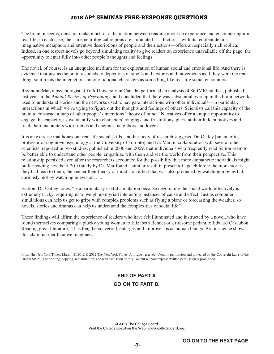The brain, it seems, does not make much of a distinction between reading about an experience and encountering it in real life; in each case, the same neurological regions are stimulated. ... Fiction—with its redolent details, imaginative metaphors and attentive descriptions of people and their actions—offers an especially rich replica. Indeed, in one respect novels go beyond simulating reality to give readers an experience unavailable off the page: the opportunity to enter fully into other people's thoughts and feelings.

The novel, of course, is an unequaled medium for the exploration of human social and emotional life. And there is evidence that just as the brain responds to depictions of smells and textures and movements as if they were the real thing, so it treats the interactions among fictional characters as something like real-life social encounters.

Raymond Mar, a psychologist at York University in Canada, performed an analysis of 86 fMRI studies, published last year in the *Annual Review of Psychology*, and concluded that there was substantial overlap in the brain networks used to understand stories and the networks used to navigate interactions with other individuals—in particular, interactions in which we're trying to figure out the thoughts and feelings of others. Scientists call this capacity of the brain to construct a map of other people's intentions "theory of mind." Narratives offer a unique opportunity to engage this capacity, as we identify with characters' longings and frustrations, guess at their hidden motives and track their encounters with friends and enemies, neighbors and lovers.

It is an exercise that hones our real-life social skills, another body of research suggests. Dr. Oatley [an emeritus professor of cognitive psychology at the University of Toronto] and Dr. Mar, in collaboration with several other scientists, reported in two studies, published in 2006 and 2009, that individuals who frequently read fiction seem to be better able to understand other people, empathize with them and see the world from their perspective. This relationship persisted even after the researchers accounted for the possibility that more empathetic individuals might prefer reading novels. A 2010 study by Dr. Mar found a similar result in preschool-age children: the more stories they had read to them, the keener their theory of mind—an effect that was also produced by watching movies but, curiously, not by watching television. ...

Fiction, Dr. Oatley notes, "is a particularly useful simulation because negotiating the social world effectively is extremely tricky, requiring us to weigh up myriad interacting instances of cause and effect. Just as computer simulations can help us get to grips with complex problems such as flying a plane or forecasting the weather, so novels, stories and dramas can help us understand the complexities of social life."

These findings will affirm the experience of readers who have felt illuminated and instructed by a novel, who have found themselves comparing a plucky young woman to Elizabeth Bennet or a tiresome pedant to Edward Casaubon. Reading great literature, it has long been averred, enlarges and improves us as human beings. Brain science shows this claim is truer than we imagined.

From The New York Times, March 18, 2012 © 2012 The New York Times. All rights reserved. Used by permission and protected by the Copyright Laws of the United States. The printing, copying, redistribution, and retransmission of this Content without express written permission is prohibited.

## **END OF PART A GO ON TO PART B.**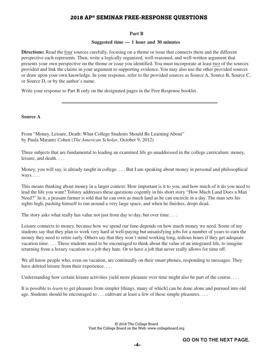#### **Part B**

#### **Suggested time — 1 hour and 30 minutes**

**Directions:** Read the four sources carefully, focusing on a theme or issue that connects them and the different perspective each represents. Then, write a logically organized, well-reasoned, and well-written argument that presents your own perspective on the theme or issue you identified. You must incorporate at least two of the sources provided and link the claims in your argument to supporting evidence. You may also use the other provided sources or draw upon your own knowledge. In your response, refer to the provided sources as Source A, Source B, Source C, or Source D, or by the author's name.

Write your response to Part B only on the designated pages in the Free Response booklet.

#### **Source A**

From "Money, Leisure, Death: What College Students Should Be Learning About" by Paula Marantz Cohen (*The American Scholar*, October 9, 2012)

Three subjects that are fundamental to leading an examined life go unaddressed in the college curriculum: money, leisure, and death. . . .

Money, you will say, is already taught in college. ... But I am speaking about money in personal and philosophical ways. . . .

This means thinking about money in a larger context: How important is it to you, and how much of it do you need to lead the life you want? Tolstoy addresses these questions cogently in his short story "How Much Land Does a Man Need?" In it, a peasant farmer is told that he can own as much land as he can encircle in a day. The man sets his sights high, pushing himself to run around a very large space, and when he finishes, drops dead.

The story asks what really has value not just from day to day, but over time....

Leisure connects to money, because how we spend our time depends on how much money we need. Some of my students say that they plan to work very hard at well-paying but unsatisfying jobs for a number of years to earn the money they need to retire early. Others say that they won't mind working long, tedious hours if they get adequate vacation time. ... These students need to be encouraged to think about the value of an integrated life, to imagine returning from a luxury vacation to a job they hate. Or to have a job that never really allows for time off.

We all know people who, even on vacation, are continually on their smart phones, responding to messages. They have deleted leisure from their experience. . . .

Understanding how certain leisure activities yield more pleasure over time might also be part of the course....

It is possible to *learn* to get pleasure from simpler [things, many of which] can be done alone and pursued into old age. Students should be encouraged to ... cultivate at least a few of these simple pleasures. ...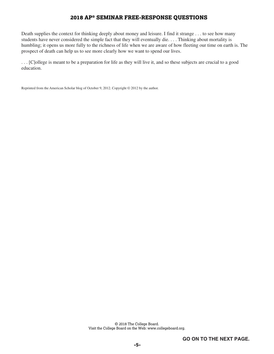Death supplies the context for thinking deeply about money and leisure. I find it strange . . . to see how many students have never considered the simple fact that they will eventually die.... Thinking about mortality is humbling; it opens us more fully to the richness of life when we are aware of how fleeting our time on earth is. The prospect of death can help us to see more clearly how we want to spend our lives.

. . . [C]ollege is meant to be a preparation for life as they will live it, and so these subjects are crucial to a good education.

Reprinted from the American Scholar blog of October 9, 2012. Copyright © 2012 by the author.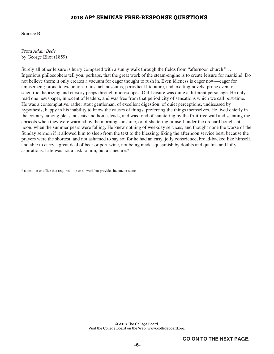#### **Source B**

From *Adam Bede*  by George Eliot (1859)

Surely all other leisure is hurry compared with a sunny walk through the fields from "afternoon church."... Ingenious philosophers tell you, perhaps, that the great work of the steam-engine is to create leisure for mankind. Do not believe them: it only creates a vacuum for eager thought to rush in. Even idleness is eager now—eager for amusement; prone to excursion-trains, art museums, periodical literature, and exciting novels; prone even to scientific theorizing and cursory peeps through microscopes. Old Leisure was quite a different personage. He only read one newspaper, innocent of leaders, and was free from that periodicity of sensations which we call post-time. He was a contemplative, rather stout gentleman, of excellent digestion; of quiet perceptions, undiseased by hypothesis; happy in his inability to know the causes of things, preferring the things themselves. He lived chiefly in the country, among pleasant seats and homesteads, and was fond of sauntering by the fruit-tree wall and scenting the apricots when they were warmed by the morning sunshine, or of sheltering himself under the orchard boughs at noon, when the summer pears were falling. He knew nothing of weekday services, and thought none the worse of the Sunday sermon if it allowed him to sleep from the text to the blessing; liking the afternoon service best, because the prayers were the shortest, and not ashamed to say so; for he had an easy, jolly conscience, broad-backed like himself, and able to carry a great deal of beer or port-wine, not being made squeamish by doubts and qualms and lofty aspirations. Life was not a task to him, but a sinecure.\*

\* a position or office that requires little or no work but provides income or status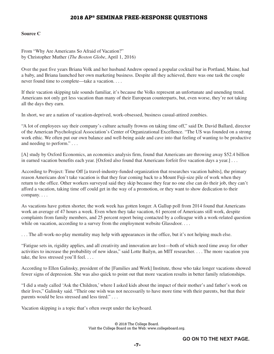#### **Source C**

From "Why Are Americans So Afraid of Vacation?" by Christopher Muther (*The Boston Globe*, April 1, 2016)

Over the past five years Briana Volk and her husband Andrew opened a popular cocktail bar in Portland, Maine, had a baby, and Briana launched her own marketing business. Despite all they achieved, there was one task the couple never found time to complete—take a vacation....

If their vacation skipping tale sounds familiar, it's because the Volks represent an unfortunate and unending trend. Americans not only get less vacation than many of their European counterparts, but, even worse, they're not taking all the days they earn.

In short, we are a nation of vacation-deprived, work-obsessed, business casual-attired zombies.

"A lot of employees say their company's culture actually frowns on taking time off," said Dr. David Ballard, director of the American Psychological Association's Center of Organizational Excellence. "The US was founded on a strong work ethic. We often put our own balance and well-being aside and cave into that feeling of wanting to be productive and needing to perform."...

[A] study by Oxford Economics, an economics analysis firm, found that Americans are throwing away \$52.4 billion in earned vacation benefits each year. [Oxford also found that Americans forfeit five vacation days a year.]...

According to Project: Time Off [a travel-industry-funded organization that researches vacation habits], the primary reason Americans don't take vacation is that they fear coming back to a Mount Fuji-size pile of work when they return to the office. Other workers surveyed said they skip because they fear no one else can do their job, they can't afford a vacation, taking time off could get in the way of a promotion, or they want to show dedication to their company....

As vacations have gotten shorter, the work week has gotten longer. A Gallup poll from 2014 found that Americans work an average of 47 hours a week. Even when they take vacation, 61 percent of Americans still work, despite complaints from family members, and 25 percent report being contacted by a colleague with a work-related question while on vacation, according to a survey from the employment website Glassdoor....

. . . The all-work-no-play mentality may help with appearances in the office, but it's not helping much else.

"Fatigue sets in, rigidity applies, and all creativity and innovation are lost—both of which need time away for other activities to increase the probability of new ideas," said Lotte Bailyn, an MIT researcher. . . . The more vacation you take, the less stressed you'll feel....

According to Ellen Galinsky, president of the [Families and Work] Institute, those who take longer vacations showed fewer signs of depression. She was also quick to point out that more vacation results in better family relationships.

"I did a study called 'Ask the Children,' where I asked kids about the impact of their mother's and father's work on their lives," Galinsky said. "Their one wish was not necessarily to have more time with their parents, but that their parents would be less stressed and less tired."...

Vacation skipping is a topic that's often swept under the keyboard.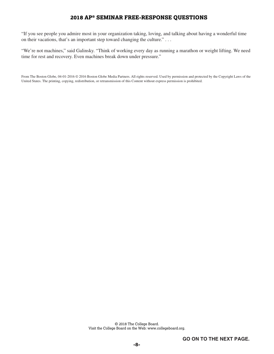"If you see people you admire most in your organization taking, loving, and talking about having a wonderful time on their vacations, that's an important step toward changing the culture." $\dots$ 

"We're not machines," said Galinsky. "Think of working every day as running a marathon or weight lifting. We need time for rest and recovery. Even machines break down under pressure."

From The Boston Globe, 04-01-2016 © 2016 Boston Globe Media Partners. All rights reserved. Used by permission and protected by the Copyright Laws of the United States. The printing, copying, redistribution, or retransmission of this Content without express permission is prohibited.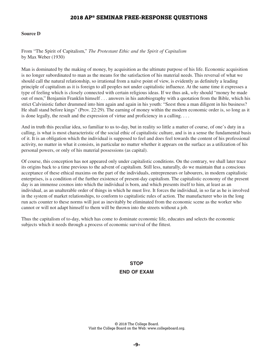#### **Source D**

From "The Spirit of Capitalism," *The Protestant Ethic and the Spirit of Capitalism*  by Max Weber (1930)

Man is dominated by the making of money, by acquisition as the ultimate purpose of his life. Economic acquisition is no longer subordinated to man as the means for the satisfaction of his material needs. This reversal of what we should call the natural relationship, so irrational from a naïve point of view, is evidently as definitely a leading principle of capitalism as it is foreign to all peoples not under capitalistic influence. At the same time it expresses a type of feeling which is closely connected with certain religious ideas. If we thus ask, *why* should "money be made out of men," Benjamin Franklin himself... answers in his autobiography with a quotation from the Bible, which his strict Calvinistic father drummed into him again and again in his youth: "Seest thou a man diligent in his business? He shall stand before kings" (Prov. 22:29). The earning of money within the modern economic order is, so long as it is done legally, the result and the expression of virtue and proficiency in a calling....

And in truth this peculiar idea, so familiar to us to-day, but in reality so little a matter of course, of one's duty in a calling, is what is most characteristic of the social ethic of capitalistic culture, and is in a sense the fundamental basis of it. It is an obligation which the individual is supposed to feel and does feel towards the content of his professional activity, no matter in what it consists, in particular no matter whether it appears on the surface as a utilization of his personal powers, or only of his material possessions (as capital).

Of course, this conception has not appeared only under capitalistic conditions. On the contrary, we shall later trace its origins back to a time previous to the advent of capitalism. Still less, naturally, do we maintain that a conscious acceptance of these ethical maxims on the part of the individuals, entrepreneurs or labourers, in modern capitalistic enterprises, is a condition of the further existence of present-day capitalism. The capitalistic economy of the present day is an immense cosmos into which the individual is born, and which presents itself to him, at least as an individual, as an unalterable order of things in which he must live. It forces the individual, in so far as he is involved in the system of market relationships, to conform to capitalistic rules of action. The manufacturer who in the long run acts counter to these norms will just as inevitably be eliminated from the economic scene as the worker who cannot or will not adapt himself to them will be thrown into the streets without a job.

Thus the capitalism of to-day, which has come to dominate economic life, educates and selects the economic subjects which it needs through a process of economic survival of the fittest.

# **STOP END OF EXAM**